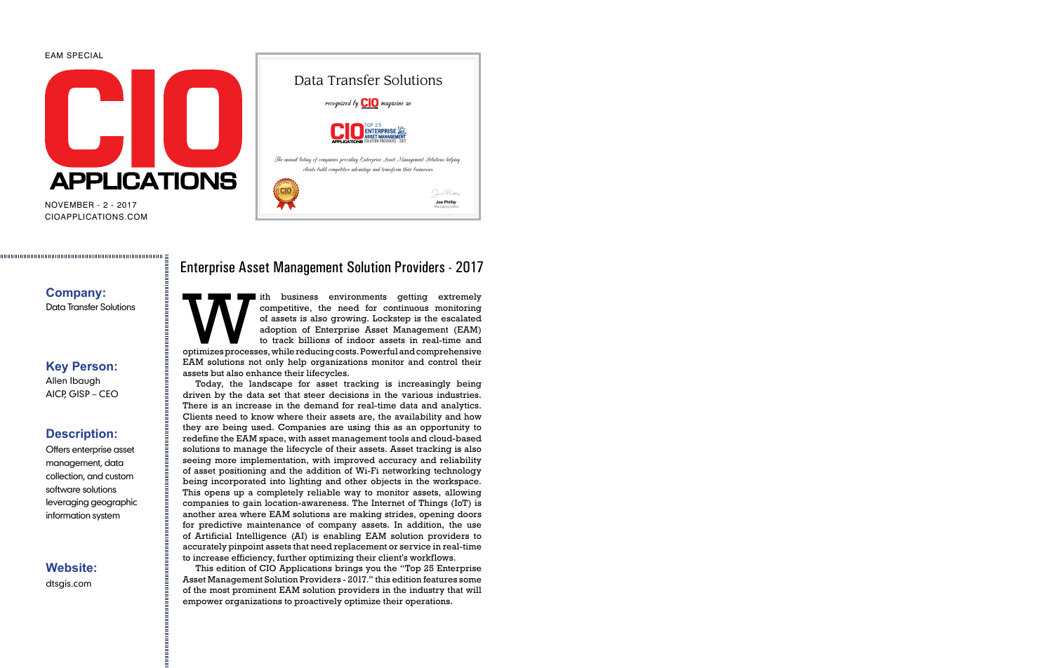#### EAM SPECIAL



CIOAPPLICATIONS.COM NOVEMBER - 2 - 2017



#### **Company:** Data Transfer Solutions

## **Key Person:**

Allen Ibaugh AICP, GISP – CEO

## **Description:**

Offers enterprise asset management, data collection, and custom software solutions leveraging geographic information system

**Website:** dtsgis.com

#### Enterprise Asset Management Solution Providers - 2017

The business environments getting extremely<br>
competitive, the need for continuous monitoring<br>
of assets is also growing. Lockstep is the escalated<br>
adoption of Enterprise Asset Management (EAM)<br>
to track billions of indoor competitive, the need for continuous monitoring of assets is also growing. Lockstep is the escalated adoption of Enterprise Asset Management (EAM) to track billions of indoor assets in real-time and EAM solutions not only help organizations monitor and control their assets but also enhance their lifecycles.

Today, the landscape for asset tracking is increasingly being driven by the data set that steer decisions in the various industries. There is an increase in the demand for real-time data and analytics. Clients need to know where their assets are, the availability and how they are being used. Companies are using this as an opportunity to redefine the EAM space, with asset management tools and cloud-based solutions to manage the lifecycle of their assets. Asset tracking is also seeing more implementation, with improved accuracy and reliability of asset positioning and the addition of Wi-Fi networking technology being incorporated into lighting and other objects in the workspace. This opens up a completely reliable way to monitor assets, allowing companies to gain location-awareness. The Internet of Things (IoT) is another area where EAM solutions are making strides, opening doors for predictive maintenance of company assets. In addition, the use of Artificial Intelligence (AI) is enabling EAM solution providers to accurately pinpoint assets that need replacement or service in real-time to increase efficiency, further optimizing their client's workflows.

This edition of CIO Applications brings you the "Top 25 Enterprise Asset Management Solution Providers - 2017." this edition features some of the most prominent EAM solution providers in the industry that will empower organizations to proactively optimize their operations.